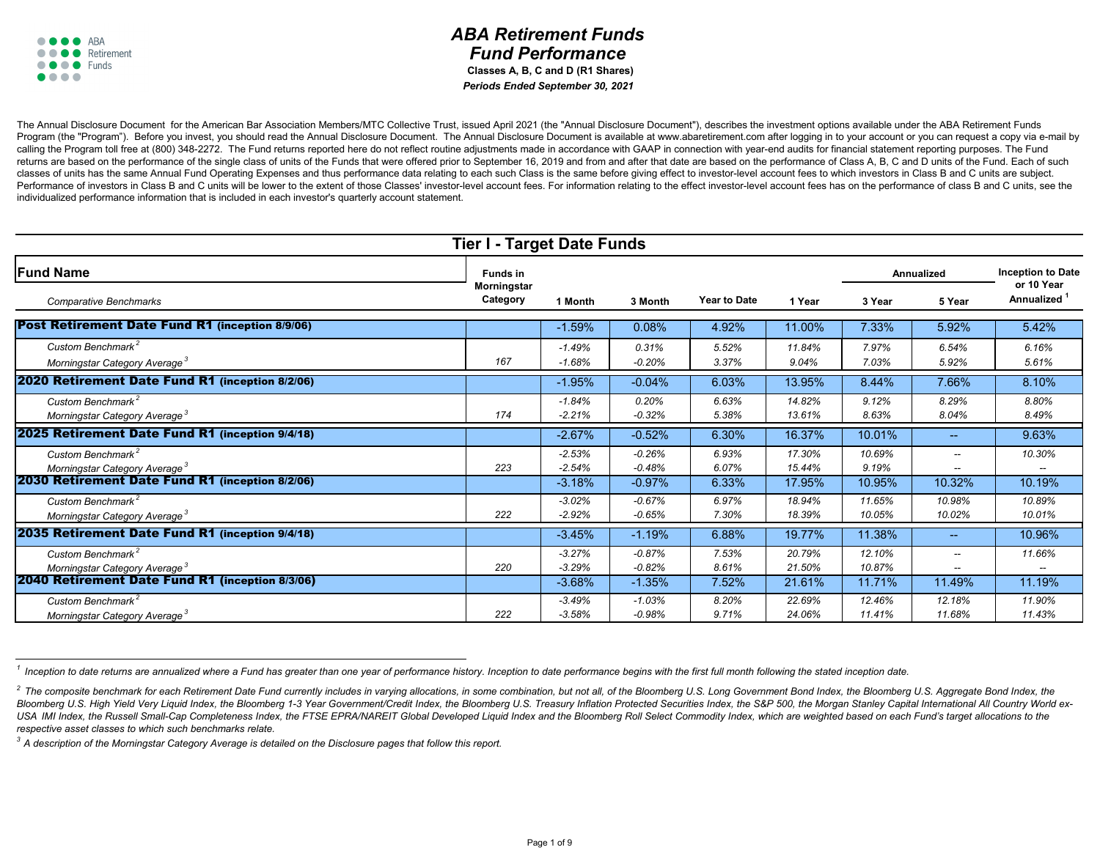|                                                        | <b>Tier I - Target Date Funds</b>     |          |          |                     |        |                   |                             |                                        |  |  |  |  |
|--------------------------------------------------------|---------------------------------------|----------|----------|---------------------|--------|-------------------|-----------------------------|----------------------------------------|--|--|--|--|
| <b>Fund Name</b>                                       | <b>Funds in</b><br><b>Morningstar</b> |          |          |                     |        | <b>Annualized</b> |                             | <b>Inception to Date</b><br>or 10 Year |  |  |  |  |
| <b>Comparative Benchmarks</b>                          | Category                              | 1 Month  | 3 Month  | <b>Year to Date</b> | 1 Year | 3 Year            | 5 Year                      | <b>Annualized</b>                      |  |  |  |  |
| <b>Post Retirement Date Fund R1 (inception 8/9/06)</b> |                                       | $-1.59%$ | 0.08%    | 4.92%               | 11.00% | 7.33%             | 5.92%                       | 5.42%                                  |  |  |  |  |
| Custom Benchmark <sup>2</sup>                          |                                       | $-1.49%$ | 0.31%    | 5.52%               | 11.84% | 7.97%             | 6.54%                       | 6.16%                                  |  |  |  |  |
| Morningstar Category Average <sup>3</sup>              | 167                                   | $-1.68%$ | $-0.20%$ | 3.37%               | 9.04%  | 7.03%             | 5.92%                       | 5.61%                                  |  |  |  |  |
| 2020 Retirement Date Fund R1 (inception 8/2/06)        |                                       | $-1.95%$ | $-0.04%$ | 6.03%               | 13.95% | 8.44%             | 7.66%                       | 8.10%                                  |  |  |  |  |
| Custom Benchmark <sup>2</sup>                          |                                       | $-1.84%$ | 0.20%    | 6.63%               | 14.82% | 9.12%             | 8.29%                       | 8.80%                                  |  |  |  |  |
| Morningstar Category Average <sup>3</sup>              | 174                                   | $-2.21%$ | $-0.32%$ | 5.38%               | 13.61% | 8.63%             | 8.04%                       | 8.49%                                  |  |  |  |  |
| 2025 Retirement Date Fund R1 (inception 9/4/18)        |                                       | $-2.67%$ | $-0.52%$ | 6.30%               | 16.37% | 10.01%            | $\rightarrow$ $\rightarrow$ | 9.63%                                  |  |  |  |  |
| Custom Benchmark <sup>2</sup>                          |                                       | $-2.53%$ | $-0.26%$ | 6.93%               | 17.30% | 10.69%            |                             | 10.30%                                 |  |  |  |  |
| Morningstar Category Average <sup>3</sup>              | 223                                   | $-2.54%$ | $-0.48%$ | 6.07%               | 15.44% | 9.19%             |                             |                                        |  |  |  |  |
| 2030 Retirement Date Fund R1 (inception 8/2/06)        |                                       | $-3.18%$ | $-0.97%$ | 6.33%               | 17.95% | 10.95%            | 10.32%                      | 10.19%                                 |  |  |  |  |
| Custom Benchmark <sup>2</sup>                          |                                       | $-3.02%$ | $-0.67%$ | 6.97%               | 18.94% | 11.65%            | 10.98%                      | 10.89%                                 |  |  |  |  |
| Morningstar Category Average <sup>3</sup>              | 222                                   | $-2.92%$ | $-0.65%$ | 7.30%               | 18.39% | 10.05%            | 10.02%                      | 10.01%                                 |  |  |  |  |
| 2035 Retirement Date Fund R1 (inception 9/4/18)        |                                       | $-3.45%$ | $-1.19%$ | 6.88%               | 19.77% | 11.38%            |                             | 10.96%                                 |  |  |  |  |
| Custom Benchmark <sup>2</sup>                          |                                       | $-3.27%$ | $-0.87%$ | 7.53%               | 20.79% | 12.10%            | $--$                        | 11.66%                                 |  |  |  |  |
| Morningstar Category Average <sup>3</sup>              | 220                                   | $-3.29%$ | $-0.82%$ | 8.61%               | 21.50% | 10.87%            | $--$                        | $--$                                   |  |  |  |  |
| 2040 Retirement Date Fund R1 (inception 8/3/06)        |                                       | $-3.68%$ | $-1.35%$ | 7.52%               | 21.61% | 11.71%            | 11.49%                      | 11.19%                                 |  |  |  |  |
| Custom Benchmark <sup>2</sup>                          |                                       | $-3.49%$ | $-1.03%$ | 8.20%               | 22.69% | 12.46%            | 12.18%                      | 11.90%                                 |  |  |  |  |
| Morningstar Category Average <sup>3</sup>              | 222                                   | $-3.58%$ | $-0.98%$ | 9.71%               | 24.06% | 11.41%            | 11.68%                      | 11.43%                                 |  |  |  |  |

<sup>&</sup>lt;sup>1</sup> Inception to date returns are annualized where a Fund has greater than one year of performance history. Inception to date performance begins with the first full month following the stated inception date.



 **Classes A, B, C and D (R1 Shares)** *Periods Ended September 30, 2021*

The Annual Disclosure Document for the American Bar Association Members/MTC Collective Trust, issued April 2021 (the "Annual Disclosure Document"), describes the investment options available under the ABA Retirement Funds Program (the "Program"). Before you invest, you should read the Annual Disclosure Document. The Annual Disclosure Document is available at www.abaretirement.com after logging in to your account or you can request a copy vi calling the Program toll free at (800) 348-2272. The Fund returns reported here do not reflect routine adjustments made in accordance with GAAP in connection with year-end audits for financial statement reporting purposes. returns are based on the performance of the single class of units of the Funds that were offered prior to September 16, 2019 and from and after that date are based on the performance of Class A, B, C and D units of the Fun classes of units has the same Annual Fund Operating Expenses and thus performance data relating to each such Class is the same before giving effect to investor-level account fees to which investors in Class B and C units a Performance of investors in Class B and C units will be lower to the extent of those Classes' investor-level account fees. For information relating to the effect investor-level account fees has on the performance of class individualized performance information that is included in each investor's quarterly account statement.

*3 A description of the Morningstar Category Average is detailed on the Disclosure pages that follow this report.*

<sup>&</sup>lt;sup>2</sup> The composite benchmark for each Retirement Date Fund currently includes in varying allocations, in some combination, but not all, of the Bloomberg U.S. Long Government Bond Index, the Bloomberg U.S. Aggregate Bond Ind Bloomberg U.S. High Yield Very Liquid Index, the Bloomberg 1-3 Year Government/Credit Index, the Bloomberg U.S. Treasury Inflation Protected Securities Index, the S&P 500, the Morgan Stanley Capital International All Count USA IMI Index, the Russell Small-Cap Completeness Index, the FTSE EPRA/NAREIT Global Developed Liquid Index and the Bloomberg Roll Select Commodity Index, which are weighted based on each Fund's target allocations to the *respective asset classes to which such benchmarks relate.*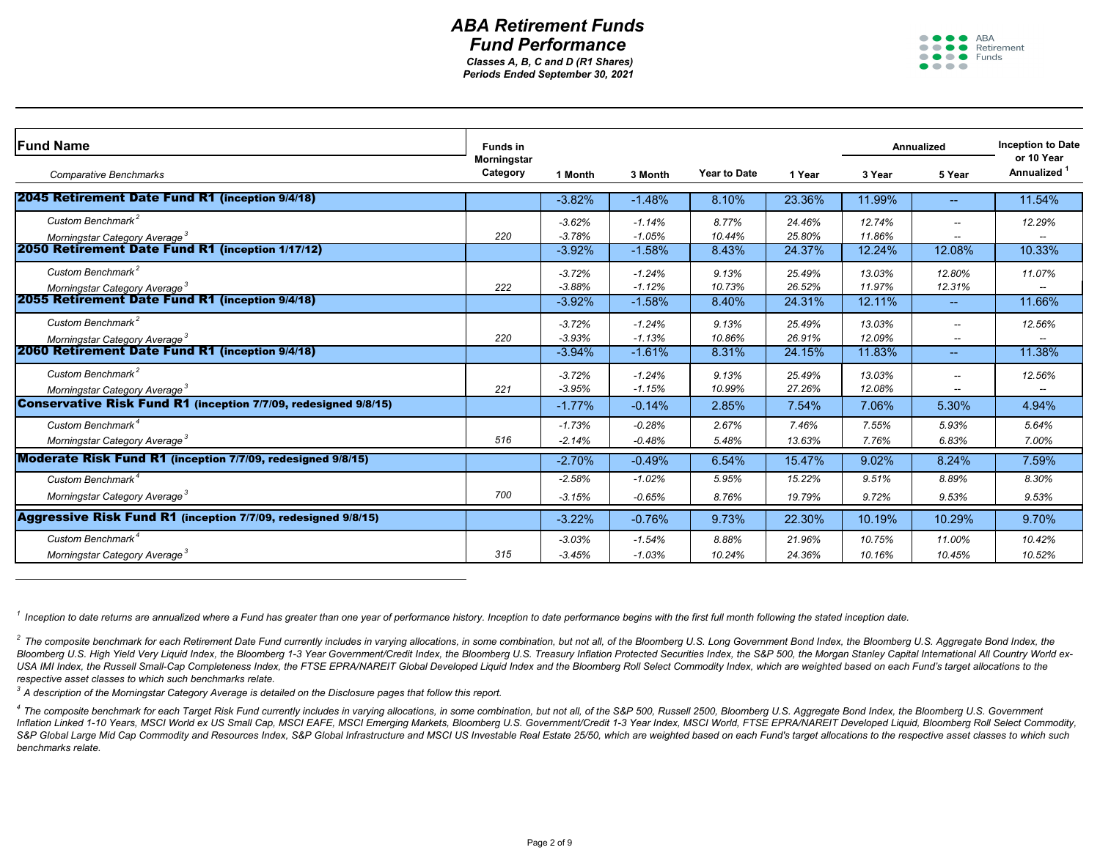

<sup>2</sup> The composite benchmark for each Retirement Date Fund currently includes in varying allocations, in some combination, but not all, of the Bloomberg U.S. Long Government Bond Index, the Bloomberg U.S. Aggregate Bond Ind Bloomberg U.S. High Yield Very Liquid Index, the Bloomberg 1-3 Year Government/Credit Index, the Bloomberg U.S. Treasury Inflation Protected Securities Index, the S&P 500, the Morgan Stanley Capital International All Count USA IMI Index, the Russell Small-Cap Completeness Index, the FTSE EPRA/NAREIT Global Developed Liquid Index and the Bloomberg Roll Select Commodity Index, which are weighted based on each Fund's target allocations to the *respective asset classes to which such benchmarks relate.*

| <b>Fund Name</b>                                                       | <b>Funds in</b>    |           |           |                     |        |        | <b>Annualized</b>                     | <b>Inception to Date</b><br>or 10 Year |
|------------------------------------------------------------------------|--------------------|-----------|-----------|---------------------|--------|--------|---------------------------------------|----------------------------------------|
|                                                                        | <b>Morningstar</b> |           |           |                     |        |        |                                       |                                        |
| <b>Comparative Benchmarks</b>                                          | <b>Category</b>    | 1 Month   | 3 Month   | <b>Year to Date</b> | 1 Year | 3 Year | 5 Year                                | <b>Annualized</b>                      |
| 2045 Retirement Date Fund R1 (inception 9/4/18)                        |                    | $-3.82%$  | $-1.48%$  | 8.10%               | 23.36% | 11.99% | $\hspace{0.05cm}$ – $\hspace{0.05cm}$ | 11.54%                                 |
| Custom Benchmark <sup>2</sup>                                          |                    | $-3.62%$  | $-1.14%$  | 8.77%               | 24.46% | 12.74% |                                       | 12.29%                                 |
| Morningstar Category Average <sup>3</sup>                              | 220                | $-3.78%$  | $-1.05%$  | 10.44%              | 25.80% | 11.86% | $\overline{\phantom{m}}$              |                                        |
| 2050 Retirement Date Fund R1 (inception 1/17/12)                       |                    | $-3.92%$  | $-1.58%$  | 8.43%               | 24.37% | 12.24% | 12.08%                                | 10.33%                                 |
| Custom Benchmark <sup>2</sup>                                          |                    | $-3.72%$  | $-1.24%$  | 9.13%               | 25.49% | 13.03% | 12.80%                                | 11.07%                                 |
| Morningstar Category Average <sup>3</sup>                              | 222                | $-3.88%$  | $-1.12%$  | 10.73%              | 26.52% | 11.97% | 12.31%                                |                                        |
| 2055 Retirement Date Fund R1 (inception 9/4/18)                        |                    | $-3.92%$  | $-1.58%$  | 8.40%               | 24.31% | 12.11% | $\hspace{0.05cm}$ – $\hspace{0.05cm}$ | 11.66%                                 |
| Custom Benchmark <sup>2</sup>                                          |                    | $-3.72%$  | $-1.24%$  | 9.13%               | 25.49% | 13.03% |                                       | 12.56%                                 |
| Morningstar Category Average <sup>3</sup>                              | 220                | $-3.93%$  | $-1.13%$  | 10.86%              | 26.91% | 12.09% | $\overline{\phantom{m}}$              |                                        |
| 2060 Retirement Date Fund R1 (inception 9/4/18)                        |                    | $-3.94%$  | $-1.61%$  | 8.31%               | 24.15% | 11.83% | $\overline{\phantom{m}}$              | 11.38%                                 |
| Custom Benchmark <sup>2</sup>                                          |                    | $-3.72%$  | $-1.24%$  | 9.13%               | 25.49% | 13.03% |                                       | 12.56%                                 |
| Morningstar Category Average <sup>3</sup>                              | 221                | $-3.95%$  | $-1.15%$  | 10.99%              | 27.26% | 12.08% | $- -$                                 |                                        |
| <b>Conservative Risk Fund R1 (inception 7/7/09, redesigned 9/8/15)</b> |                    | $-1.77\%$ | $-0.14%$  | 2.85%               | 7.54%  | 7.06%  | 5.30%                                 | 4.94%                                  |
| Custom Benchmark <sup>4</sup>                                          |                    | $-1.73%$  | $-0.28%$  | 2.67%               | 7.46%  | 7.55%  | 5.93%                                 | 5.64%                                  |
| Morningstar Category Average <sup>3</sup>                              | 516                | $-2.14%$  | $-0.48%$  | 5.48%               | 13.63% | 7.76%  | 6.83%                                 | 7.00%                                  |
| Moderate Risk Fund R1 (inception 7/7/09, redesigned 9/8/15)            |                    | $-2.70%$  | $-0.49%$  | 6.54%               | 15.47% | 9.02%  | 8.24%                                 | 7.59%                                  |
| Custom Benchmark <sup>4</sup>                                          |                    | $-2.58%$  | $-1.02\%$ | 5.95%               | 15.22% | 9.51%  | 8.89%                                 | 8.30%                                  |
| Morningstar Category Average <sup>3</sup>                              | 700                | $-3.15%$  | $-0.65%$  | 8.76%               | 19.79% | 9.72%  | 9.53%                                 | 9.53%                                  |
| <b>Aggressive Risk Fund R1</b> (inception 7/7/09, redesigned 9/8/15)   |                    | $-3.22\%$ | $-0.76%$  | 9.73%               | 22.30% | 10.19% | 10.29%                                | 9.70%                                  |
| Custom Benchmark <sup>4</sup>                                          |                    | $-3.03%$  | $-1.54%$  | 8.88%               | 21.96% | 10.75% | 11.00%                                | 10.42%                                 |
| Morningstar Category Average <sup>3</sup>                              | 315                | $-3.45%$  | $-1.03%$  | 10.24%              | 24.36% | 10.16% | 10.45%                                | 10.52%                                 |

<sup>4</sup> The composite benchmark for each Target Risk Fund currently includes in varying allocations, in some combination, but not all, of the S&P 500, Russell 2500, Bloomberg U.S. Aggregate Bond Index, the Bloomberg U.S. Gover Inflation Linked 1-10 Years, MSCI World ex US Small Cap, MSCI EAFE, MSCI Emerging Markets, Bloomberg U.S. Government/Credit 1-3 Year Index, MSCI World, FTSE EPRA/NAREIT Developed Liquid, Bloomberg Roll Select Commodity, S&P Global Large Mid Cap Commodity and Resources Index, S&P Global Infrastructure and MSCI US Investable Real Estate 25/50, which are weighted based on each Fund's target allocations to the respective asset classes to whic *benchmarks relate.*

*1 Inception to date returns are annualized where a Fund has greater than one year of performance history. Inception to date performance begins with the first full month following the stated inception date.*

*3 A description of the Morningstar Category Average is detailed on the Disclosure pages that follow this report.*

*Periods Ended September 30, 2021 Classes A, B, C and D (R1 Shares)*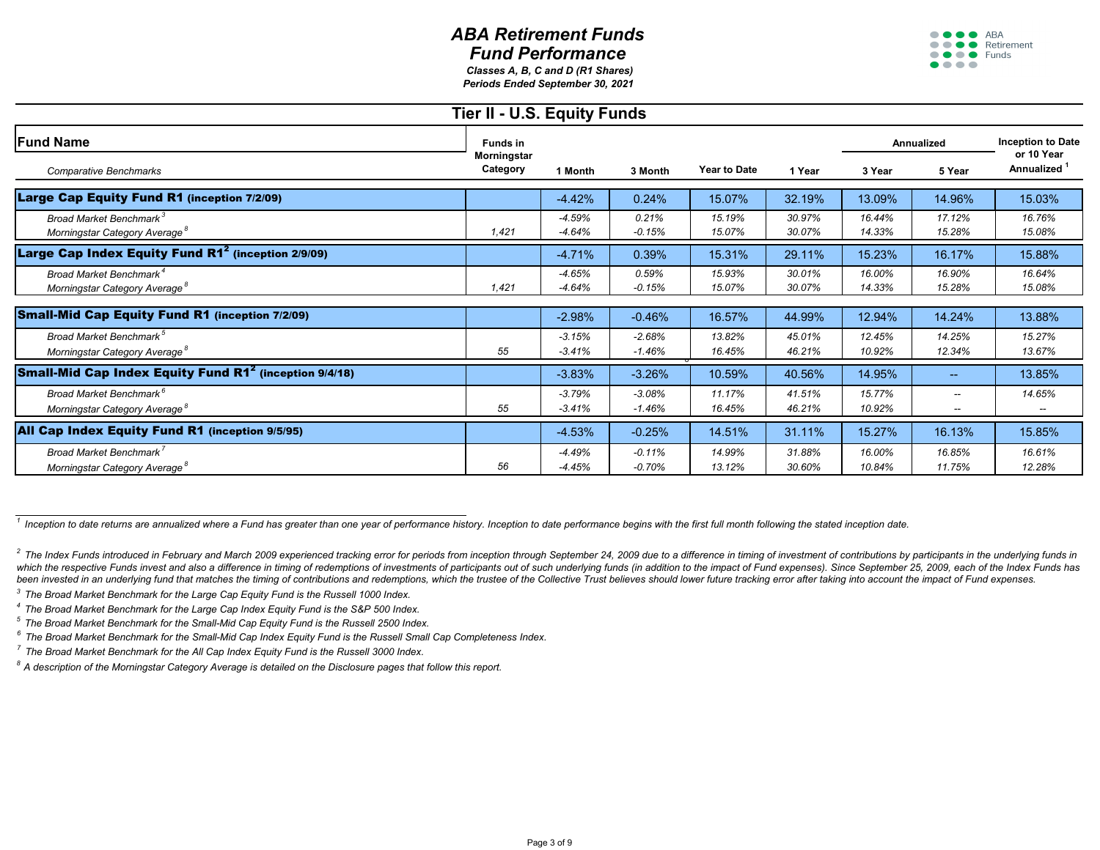

|                                                                                         | <b>Tier II - U.S. Equity Funds</b> |                      |                      |                     |                  |                   |                  |                               |
|-----------------------------------------------------------------------------------------|------------------------------------|----------------------|----------------------|---------------------|------------------|-------------------|------------------|-------------------------------|
| <b>Fund Name</b>                                                                        | <b>Funds in</b>                    |                      | 3 Month              | <b>Year to Date</b> |                  | <b>Annualized</b> |                  | Inception to                  |
| <b>Comparative Benchmarks</b>                                                           | <b>Morningstar</b><br>Category     | 1 Month              |                      |                     | 1 Year           | 3 Year            | 5 Year           | or 10 Yea<br><b>Annualize</b> |
| Large Cap Equity Fund R1 (inception 7/2/09)                                             |                                    | $-4.42%$             | 0.24%                | 15.07%              | 32.19%           | 13.09%            | 14.96%           | 15.03%                        |
| Broad Market Benchmark <sup>3</sup><br>Morningstar Category Average <sup>°</sup>        | 1,421                              | $-4.59%$<br>$-4.64%$ | 0.21%<br>$-0.15%$    | 15.19%<br>15.07%    | 30.97%<br>30.07% | 16.44%<br>14.33%  | 17.12%<br>15.28% | 16.76%<br>15.08%              |
| Large Cap Index Equity Fund R1 <sup>2</sup> (inception 2/9/09)                          |                                    | $-4.71%$             | 0.39%                | 15.31%              | 29.11%           | 15.23%            | 16.17%           | 15.88%                        |
| Broad Market Benchmark <sup>4</sup><br>Morningstar Category Average <sup>8</sup>        | 1,421                              | $-4.65%$<br>$-4.64%$ | 0.59%<br>$-0.15%$    | 15.93%<br>15.07%    | 30.01%<br>30.07% | 16.00%<br>14.33%  | 16.90%<br>15.28% | 16.64%<br>15.08%              |
| <b>Small-Mid Cap Equity Fund R1 (inception 7/2/09)</b>                                  |                                    | $-2.98%$             | $-0.46%$             | 16.57%              | 44.99%           | 12.94%            | 14.24%           | 13.88%                        |
| <b>Broad Market Benchmark</b> <sup>5</sup><br>Morningstar Category Average <sup>8</sup> | 55                                 | $-3.15%$<br>$-3.41%$ | $-2.68%$<br>$-1.46%$ | 13.82%<br>16.45%    | 45.01%<br>46.21% | 12.45%<br>10.92%  | 14.25%<br>12.34% | 15.27%<br>13.67%              |
| <b>Small-Mid Cap Index Equity Fund R1<sup>2</sup> (inception 9/4/18)</b>                |                                    | $-3.83%$             | $-3.26%$             | 10.59%              | 40.56%           | 14.95%            | $- -$ .          | 13.85%                        |
| <b>Broad Market Benchmark<sup>6</sup></b><br>Morningstar Category Average <sup>8</sup>  | 55                                 | $-3.79%$<br>$-3.41%$ | $-3.08%$<br>$-1.46%$ | 11.17%<br>16.45%    | 41.51%<br>46.21% | 15.77%<br>10.92%  | $-$<br>$- -$     | 14.65%                        |
| All Cap Index Equity Fund R1 (inception 9/5/95)                                         |                                    | $-4.53%$             | $-0.25%$             | 14.51%              | 31.11%           | 15.27%            | 16.13%           | 15.85%                        |
| Broad Market Benchmark <sup>7</sup><br>Morningstar Category Average <sup>8</sup>        | 56                                 | $-4.49%$<br>$-4.45%$ | $-0.11%$<br>$-0.70%$ | 14.99%<br>13.12%    | 31.88%<br>30.60% | 16.00%<br>10.84%  | 16.85%<br>11.75% | 16.61%<br>12.28%              |

 $\frac{1}{1}$  Inception to date returns are annualized where a Fund has greater than one year of performance history. Inception to date performance begins with the first full month following the stated inception date.

<sup>2</sup> The Index Funds introduced in February and March 2009 experienced tracking error for periods from inception through September 24, 2009 due to a difference in timing of investment of contributions by participants in the which the respective Funds invest and also a difference in timing of redemptions of investments of participants out of such underlying funds (in addition to the impact of Fund expenses). Since September 25, 2009, each of t been invested in an underlying fund that matches the timing of contributions and redemptions, which the trustee of the Collective Trust believes should lower future tracking error after taking into account the impact of Fu

*3 The Broad Market Benchmark for the Large Cap Equity Fund is the Russell 1000 Index.*

|        |                     |                  |                  | <b>Annualized</b> | <b>Inception to Date</b>              |
|--------|---------------------|------------------|------------------|-------------------|---------------------------------------|
| 'n     | <b>Year to Date</b> | 1 Year           | 3 Year           | 5 Year            | or 10 Year<br>Annualized <sup>1</sup> |
| ,<br>0 | 15.07%              | 32.19%           | 13.09%           | 14.96%            | 15.03%                                |
|        | 15.19%<br>15.07%    | 30.97%<br>30.07% | 16.44%<br>14.33% | 17.12%<br>15.28%  | 16.76%<br>15.08%                      |
| ,<br>0 | 15.31%              | 29.11%           | 15.23%           | 16.17%            | 15.88%                                |
|        | 15.93%<br>15.07%    | 30.01%<br>30.07% | 16.00%<br>14.33% | 16.90%<br>15.28%  | 16.64%<br>15.08%                      |
|        |                     |                  |                  |                   |                                       |
| 6      | 16.57%              | 44.99%           | 12.94%           | 14.24%            | 13.88%                                |
| ᠦ      | 13.82%<br>16.45%    | 45.01%<br>46.21% | 12.45%<br>10.92% | 14.25%<br>12.34%  | 15.27%<br>13.67%                      |
| ⁄0     | 10.59%              | 40.56%           | 14.95%           |                   | 13.85%                                |
|        | 11.17%<br>16.45%    | 41.51%<br>46.21% | 15.77%<br>10.92% |                   | 14.65%                                |
| 6      | 14.51%              | 31.11%           | 15.27%           | 16.13%            | 15.85%                                |
|        | 14.99%<br>13.12%    | 31.88%<br>30.60% | 16.00%<br>10.84% | 16.85%<br>11.75%  | 16.61%<br>12.28%                      |

*4 The Broad Market Benchmark for the Large Cap Index Equity Fund is the S&P 500 Index.*

*5 The Broad Market Benchmark for the Small-Mid Cap Equity Fund is the Russell 2500 Index.*

*6 The Broad Market Benchmark for the Small-Mid Cap Index Equity Fund is the Russell Small Cap Completeness Index.*

*7 The Broad Market Benchmark for the All Cap Index Equity Fund is the Russell 3000 Index.*

*Periods Ended September 30, 2021 Classes A, B, C and D (R1 Shares)*

*8 A description of the Morningstar Category Average is detailed on the Disclosure pages that follow this report.*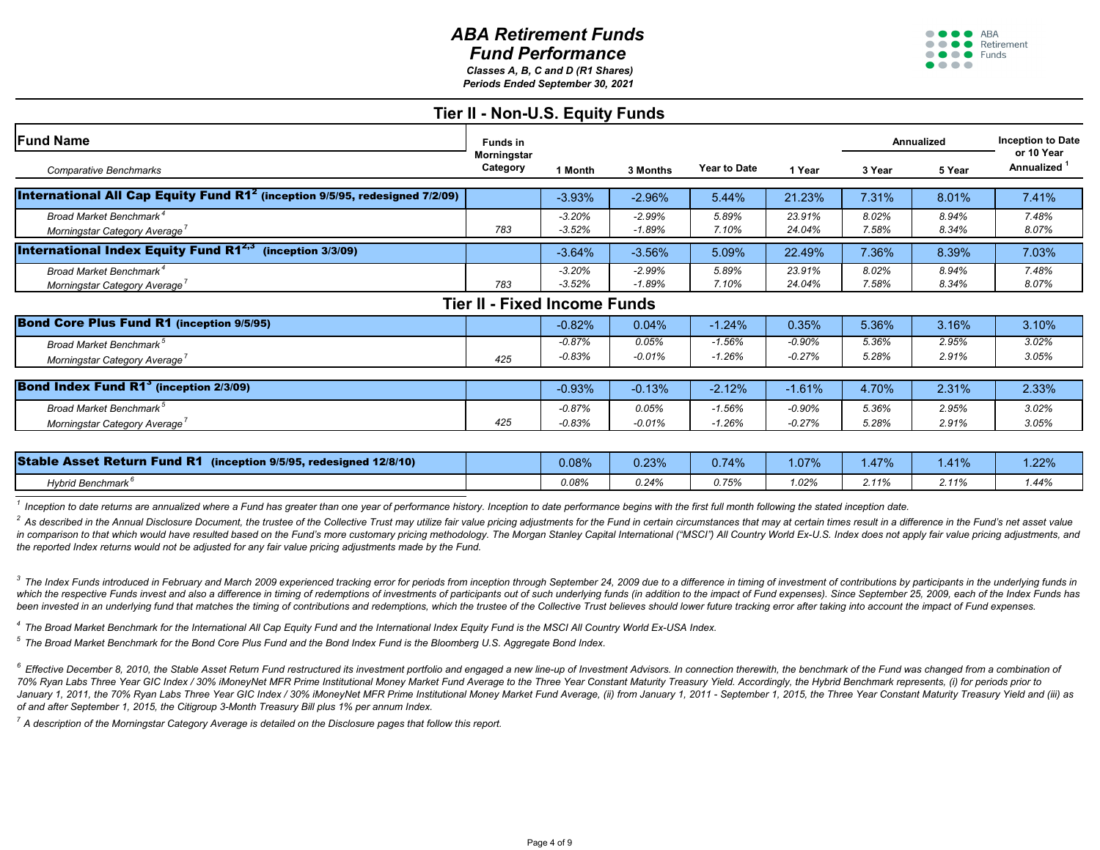

| i<br>I |  |  |
|--------|--|--|

<sup>2</sup> As described in the Annual Disclosure Document, the trustee of the Collective Trust may utilize fair value pricing adjustments for the Fund in certain circumstances that may at certain times result in a difference in t in comparison to that which would have resulted based on the Fund's more customary pricing methodology. The Morgan Stanley Capital International ("MSCI") All Country World Ex-U.S. Index does not apply fair value pricing ad *the reported Index returns would not be adjusted for any fair value pricing adjustments made by the Fund.* 

 $3$  The Index Funds introduced in February and March 2009 experienced tracking error for periods from inception through September 24, 2009 due to a difference in timing of investment of contributions by participants in th which the respective Funds invest and also a difference in timing of redemptions of investments of participants out of such underlying funds (in addition to the impact of Fund expenses). Since September 25, 2009, each of t been invested in an underlying fund that matches the timing of contributions and redemptions, which the trustee of the Collective Trust believes should lower future tracking error after taking into account the impact of Fu

| <b>Stable Asset Return Fund R1</b><br>$(inception 9/5/95, redesigned 12/8/10)$ | 0.08% | .23%     | 0.74% | $.07\%$ | .47%  | .41%  | .22% |
|--------------------------------------------------------------------------------|-------|----------|-------|---------|-------|-------|------|
| Hybrid Benchmark <sup>c</sup>                                                  | 0.08% | $0.24\%$ | 0.75% | 1.02%   | 2410/ | 2.11% | .44% |

<sup>6</sup> Effective December 8, 2010, the Stable Asset Return Fund restructured its investment portfolio and engaged a new line-up of Investment Advisors. In connection therewith, the benchmark of the Fund was changed from a com 70% Ryan Labs Three Year GIC Index / 30% iMoneyNet MFR Prime Institutional Money Market Fund Average to the Three Year Constant Maturity Treasury Yield. Accordingly, the Hybrid Benchmark represents, (i) for periods prior t January 1, 2011, the 70% Ryan Labs Three Year GIC Index / 30% iMoneyNet MFR Prime Institutional Money Market Fund Average, (ii) from January 1, 2011 - September 1, 2015, the Three Year Constant Maturity Treasury Yield and *of and after September 1, 2015, the Citigroup 3-Month Treasury Bill plus 1% per annum Index.*

|                                                                                               | Tier II - Non-U.S. Equity Funds     |                      |                      |                      |                      |                   |                |                          |
|-----------------------------------------------------------------------------------------------|-------------------------------------|----------------------|----------------------|----------------------|----------------------|-------------------|----------------|--------------------------|
| <b>Fund Name</b>                                                                              | <b>Funds in</b>                     |                      |                      | <b>Year to Date</b>  |                      | <b>Annualized</b> |                | Inception to<br>or 10 Ye |
| <b>Comparative Benchmarks</b>                                                                 | <b>Morningstar</b><br>Category      | 1 Month              | 3 Months             |                      | 1 Year               | 3 Year            | 5 Year         | <b>Annualize</b>         |
| <b>International All Cap Equity Fund R1<sup>2</sup> (inception 9/5/95, redesigned 7/2/09)</b> |                                     | $-3.93%$             | $-2.96%$             | 5.44%                | 21.23%               | 7.31%             | 8.01%          | 7.41%                    |
| Broad Market Benchmark <sup>4</sup><br>Morningstar Category Average'                          | 783                                 | $-3.20%$<br>$-3.52%$ | $-2.99%$<br>$-1.89%$ | 5.89%<br>7.10%       | 23.91%<br>24.04%     | 8.02%<br>7.58%    | 8.94%<br>8.34% | 7.48%<br>8.07%           |
| <b>International Index Equity Fund R1<sup>2,3</sup></b> (inception $3/3/09$ )                 |                                     | $-3.64%$             | $-3.56%$             | 5.09%                | 22.49%               | 7.36%             | 8.39%          | 7.03%                    |
| Broad Market Benchmark <sup>4</sup><br>Morningstar Category Average'                          | 783                                 | $-3.20%$<br>$-3.52%$ | $-2.99%$<br>$-1.89%$ | 5.89%<br>7.10%       | 23.91%<br>24.04%     | 8.02%<br>7.58%    | 8.94%<br>8.34% | 7.48%<br>8.07%           |
|                                                                                               | <b>Tier II - Fixed Income Funds</b> |                      |                      |                      |                      |                   |                |                          |
| <b>Bond Core Plus Fund R1 (inception 9/5/95)</b>                                              |                                     | $-0.82%$             | 0.04%                | $-1.24%$             | 0.35%                | 5.36%             | 3.16%          | 3.10%                    |
| Broad Market Benchmark <sup>5</sup><br>Morningstar Category Average                           | 425                                 | $-0.87%$<br>$-0.83%$ | 0.05%<br>$-0.01%$    | $-1.56%$<br>$-1.26%$ | $-0.90%$<br>$-0.27%$ | 5.36%<br>5.28%    | 2.95%<br>2.91% | 3.02%<br>3.05%           |
| <b>Bond Index Fund R1<sup>3</sup> (inception 2/3/09)</b>                                      |                                     | $-0.93%$             | $-0.13%$             | $-2.12%$             | $-1.61%$             | 4.70%             | 2.31%          | 2.33%                    |
| <b>Broad Market Benchmark</b> <sup>5</sup><br>Morningstar Category Average'                   | 425                                 | $-0.87%$<br>$-0.83%$ | 0.05%<br>$-0.01%$    | $-1.56%$<br>$-1.26%$ | $-0.90%$<br>$-0.27%$ | 5.36%<br>5.28%    | 2.95%<br>2.91% | 3.02%<br>3.05%           |
| Stable Asset Return Fund R1 (incention 9/5/95 redesigned 12/8/10)                             |                                     | $\Omega$ $\Omega$    | $\Omega$ 220/        | $\bigcap$ 740/       | 1070/                | 1.170/            | 4.440/         | 1.000/                   |

*7 A description of the Morningstar Category Average is detailed on the Disclosure pages that follow this report.*

*1 Inception to date returns are annualized where a Fund has greater than one year of performance history. Inception to date performance begins with the first full month following the stated inception date.*

|        |                     |                  |                | <b>Annualized</b> | <b>Inception to Date</b>              |
|--------|---------------------|------------------|----------------|-------------------|---------------------------------------|
| IS.    | <b>Year to Date</b> | 1 Year           | 3 Year         | 5 Year            | or 10 Year<br>Annualized <sup>1</sup> |
| ,<br>0 | 5.44%               | 21.23%           | 7.31%          | 8.01%             | 7.41%                                 |
|        | 5.89%<br>7.10%      | 23.91%<br>24.04% | 8.02%<br>7.58% | 8.94%<br>8.34%    | 7.48%<br>8.07%                        |
| ,<br>0 | 5.09%               | 22.49%           | 7.36%          | 8.39%             | 7.03%                                 |
|        | 5.89%<br>7.10%      | 23.91%<br>24.04% | 8.02%<br>7.58% | 8.94%<br>8.34%    | 7.48%<br>8.07%                        |
|        |                     |                  |                |                   |                                       |

|   | $-1.24%$ | 0.35%     | 5.36% | 3.16% | 3.10% |
|---|----------|-----------|-------|-------|-------|
|   | $-1.56%$ | $-0.90\%$ | 5.36% | 2.95% | 3.02% |
|   | $-1.26%$ | $-0.27%$  | 5.28% | 2.91% | 3.05% |
|   |          |           |       |       |       |
| 6 | $-2.12%$ | $-1.61%$  | 4.70% | 2.31% | 2.33% |
|   | $-1.56%$ | $-0.90\%$ | 5.36% | 2.95% | 3.02% |
|   | $-1.26%$ | $-0.27%$  | 5.28% | 2.91% | 3.05% |
|   |          |           |       |       |       |

*Periods Ended September 30, 2021 Classes A, B, C and D (R1 Shares)*

*4 The Broad Market Benchmark for the International All Cap Equity Fund and the International Index Equity Fund is the MSCI All Country World Ex-USA Index.*

*5 The Broad Market Benchmark for the Bond Core Plus Fund and the Bond Index Fund is the Bloomberg U.S. Aggregate Bond Index.*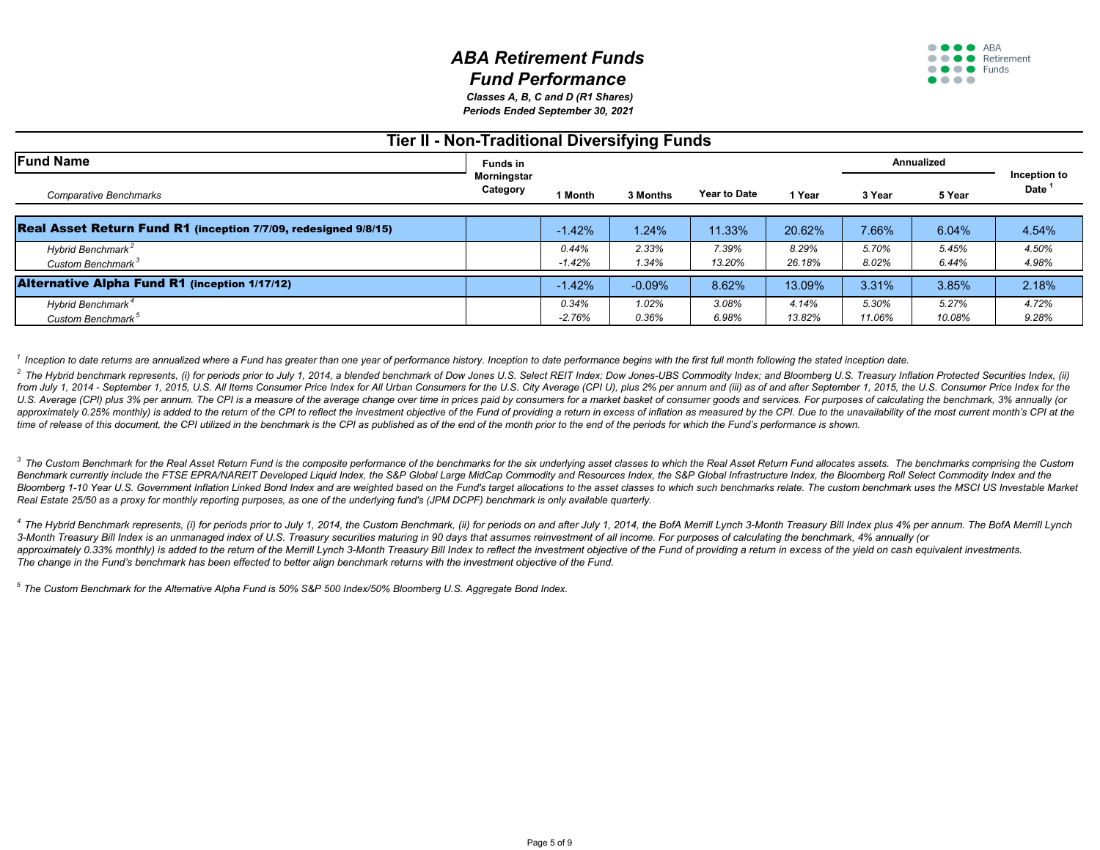

<sup>4</sup> The Hybrid Benchmark represents, (i) for periods prior to July 1, 2014, the Custom Benchmark, (ii) for periods on and after July 1, 2014, the BofA Merrill Lynch 3-Month Treasury Bill Index plus 4% per annum. The BofA M *3-Month Treasury Bill Index is an unmanaged index of U.S. Treasury securities maturing in 90 days that assumes reinvestment of all income. For purposes of calculating the benchmark, 4% annually (or* approximately 0.33% monthly) is added to the return of the Merrill Lynch 3-Month Treasury Bill Index to reflect the investment objective of the Fund of providing a return in excess of the yield on cash equivalent investmen *The change in the Fund's benchmark has been effected to better align benchmark returns with the investment objective of the Fund.*

| <b>Tier II - Non-Traditional Diversifying Funds</b>                    |                                |                   |                |                     |                 |                   |                 |                                |  |  |
|------------------------------------------------------------------------|--------------------------------|-------------------|----------------|---------------------|-----------------|-------------------|-----------------|--------------------------------|--|--|
| <b>Fund Name</b>                                                       | <b>Funds in</b>                |                   | 3 Months       | <b>Year to Date</b> | 1 Year          | <b>Annualized</b> |                 |                                |  |  |
| <b>Comparative Benchmarks</b>                                          | <b>Morningstar</b><br>Category | 1 Month           |                |                     |                 | 3 Year            | 5 Year          | Inception<br>Date <sup>1</sup> |  |  |
| <b>Real Asset Return Fund R1 (inception 7/7/09, redesigned 9/8/15)</b> |                                | $-1.42%$          | 1.24%          | 11.33%              | 20.62%          | 7.66%             | 6.04%           | 4.54%                          |  |  |
| Hybrid Benchmark <sup>2</sup><br>Custom Benchmark <sup>3</sup>         |                                | 0.44%<br>$-1.42%$ | 2.33%<br>1.34% | 7.39%<br>13.20%     | 8.29%<br>26.18% | 5.70%<br>8.02%    | 5.45%<br>6.44%  | 4.50%<br>4.98%                 |  |  |
| <b>Alternative Alpha Fund R1 (inception 1/17/12)</b>                   |                                | $-1.42%$          | $-0.09%$       | 8.62%               | 13.09%          | 3.31%             | 3.85%           | 2.18%                          |  |  |
| Hybrid Benchmark <sup>4</sup><br>Custom Benchmark <sup>5</sup>         |                                | 0.34%<br>$-2.76%$ | 1.02%<br>0.36% | 3.08%<br>6.98%      | 4.14%<br>13.82% | 5.30%<br>11.06%   | 5.27%<br>10.08% | 4.72%<br>9.28%                 |  |  |

*5 The Custom Benchmark for the Alternative Alpha Fund is 50% S&P 500 Index/50% Bloomberg U.S. Aggregate Bond Index.*

<sup>1</sup> Inception to date returns are annualized where a Fund has greater than one year of performance history. Inception to date performance begins with the first full month following the stated inception date. <sup>2</sup> The Hybrid benchmark represents, (i) for periods prior to July 1, 2014, a blended benchmark of Dow Jones U.S. Select REIT Index; Dow Jones-UBS Commodity Index; and Bloomberg U.S. Treasury Inflation Protected Securitie from July 1, 2014 - September 1, 2015, U.S. All Items Consumer Price Index for All Urban Consumers for the U.S. City Average (CPI U), plus 2% per annum and (iii) as of and after September 1, 2015, the U.S. Consumer Price I U.S. Average (CPI) plus 3% per annum. The CPI is a measure of the average change over time in prices paid by consumers for a market basket of consumer goods and services. For purposes of calculating the benchmark, 3% annua approximately 0.25% monthly) is added to the return of the CPI to reflect the investment objective of the Fund of providing a return in excess of inflation as measured by the CPI. Due to the unavailability of the most curr *time of release of this document, the CPI utilized in the benchmark is the CPI as published as of the end of the month prior to the end of the periods for which the Fund's performance is shown.* 

|            |                     |        |        | <b>Annualized</b> |                          |
|------------|---------------------|--------|--------|-------------------|--------------------------|
| hs         | <b>Year to Date</b> | 1 Year | 3 Year | 5 Year            | Inception to<br>Date $1$ |
|            |                     |        |        |                   |                          |
| ,<br>0     | 11.33%              | 20.62% | 7.66%  | 6.04%             | 4.54%                    |
|            | 7.39%               | 8.29%  | 5.70%  | 5.45%             | 4.50%                    |
|            | 13.20%              | 26.18% | 8.02%  | 6.44%             | 4.98%                    |
|            |                     |        |        |                   |                          |
| $\sqrt{2}$ | 8.62%               | 13.09% | 3.31%  | 3.85%             | 2.18%                    |
|            | 3.08%               | 4.14%  | 5.30%  | 5.27%             | 4.72%                    |
|            | 6.98%               | 13.82% | 11.06% | 10.08%            | 9.28%                    |

*Periods Ended September 30, 2021 Classes A, B, C and D (R1 Shares)*

<sup>3</sup> The Custom Benchmark for the Real Asset Return Fund is the composite performance of the benchmarks for the six underlying asset classes to which the Real Asset Return Fund allocates assets. The benchmarks comprising th Benchmark currently include the FTSE EPRA/NAREIT Developed Liquid Index, the S&P Global Large MidCap Commodity and Resources Index, the S&P Global Infrastructure Index, the Bloomberg Roll Select Commodity Index and the Bloomberg 1-10 Year U.S. Government Inflation Linked Bond Index and are weighted based on the Fund's target allocations to the asset classes to which such benchmarks relate. The custom benchmark uses the MSCI US Investable *Real Estate 25/50 as a proxy for monthly reporting purposes, as one of the underlying fund's (JPM DCPF) benchmark is only available quarterly.*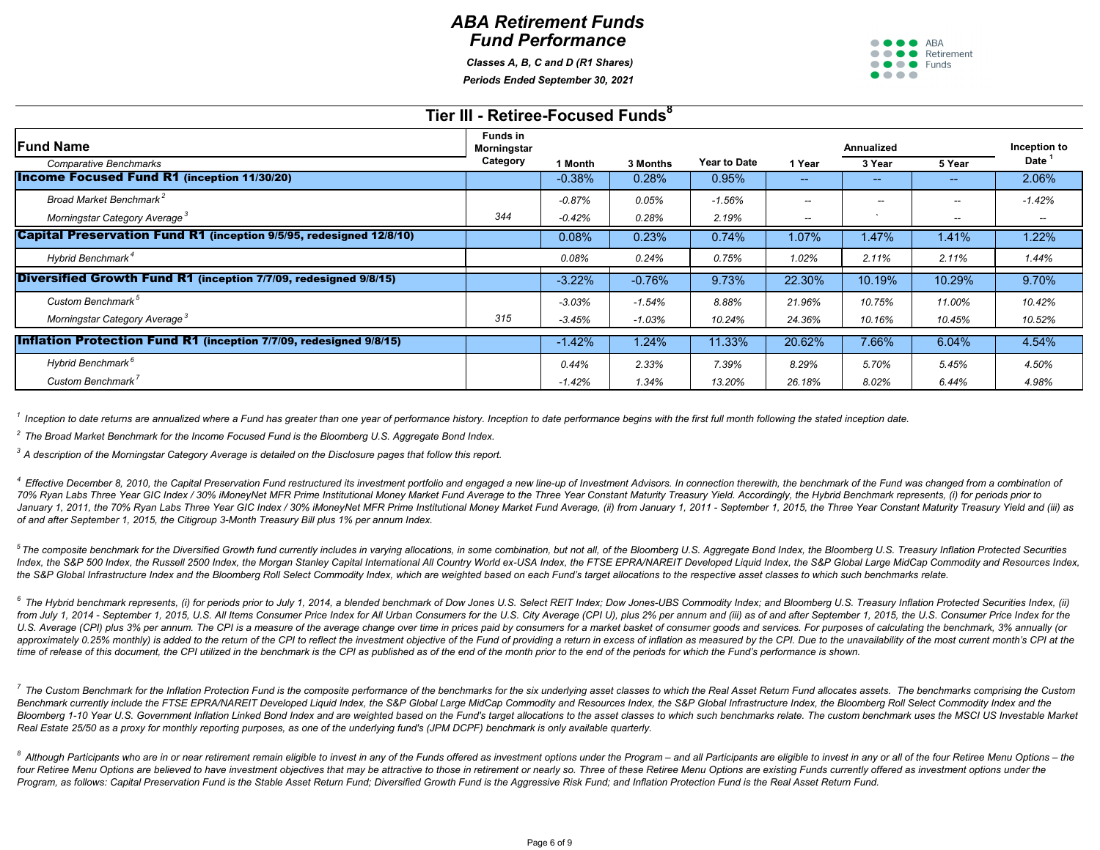

|                                                                            | Tier III - Retiree-Focused Funds <sup>8</sup> |          |          |                     |                   |                   |               |              |
|----------------------------------------------------------------------------|-----------------------------------------------|----------|----------|---------------------|-------------------|-------------------|---------------|--------------|
| <b>Fund Name</b>                                                           | <b>Funds in</b><br>Morningstar                |          |          |                     |                   | <b>Annualized</b> |               | Inception to |
| <b>Comparative Benchmarks</b>                                              | Category                                      | 1 Month  | 3 Months | <b>Year to Date</b> | 1 Year            | 3 Year            | 5 Year        | Date         |
| <b>Income Focused Fund R1 (inception 11/30/20)</b>                         |                                               | $-0.38%$ | 0.28%    | 0.95%               | $\sim$ $\sim$     | --                | $\sim$ $\sim$ | 2.06%        |
| Broad Market Benchmark <sup>2</sup>                                        |                                               | $-0.87%$ | 0.05%    | $-1.56%$            | $\qquad \qquad -$ | $-$               | $--$          | $-1.42%$     |
| Morningstar Category Average <sup>3</sup>                                  | 344                                           | $-0.42%$ | 0.28%    | 2.19%               | $--$              |                   | $- -$         | $- -$        |
| <b>Capital Preservation Fund R1</b> (inception 9/5/95, redesigned 12/8/10) |                                               | 0.08%    | 0.23%    | 0.74%               | $1.07\%$          | 1.47%             | 1.41%         | $1.22\%$     |
| Hybrid Benchmark <sup>4</sup>                                              |                                               | 0.08%    | 0.24%    | 0.75%               | 1.02%             | 2.11%             | 2.11%         | 1.44%        |
| Diversified Growth Fund R1 (inception 7/7/09, redesigned 9/8/15)           |                                               | $-3.22%$ | $-0.76%$ | 9.73%               | 22.30%            | 10.19%            | 10.29%        | 9.70%        |
| Custom Benchmark <sup>5</sup>                                              |                                               | $-3.03%$ | $-1.54%$ | 8.88%               | 21.96%            | 10.75%            | 11.00%        | 10.42%       |
| Morningstar Category Average <sup>3</sup>                                  | 315                                           | $-3.45%$ | $-1.03%$ | 10.24%              | 24.36%            | 10.16%            | 10.45%        | 10.52%       |
| <b>Inflation Protection Fund R1 (inception 7/7/09, redesigned 9/8/15)</b>  |                                               | $-1.42%$ | $1.24\%$ | 11.33%              | 20.62%            | 7.66%             | 6.04%         | 4.54%        |
| Hybrid Benchmark <sup>6</sup>                                              |                                               | 0.44%    | 2.33%    | 7.39%               | 8.29%             | 5.70%             | 5.45%         | 4.50%        |
| Custom Benchmark <sup>7</sup>                                              |                                               | $-1.42%$ | 1.34%    | 13.20%              | 26.18%            | 8.02%             | 6.44%         | 4.98%        |

<sup>1</sup> Inception to date returns are annualized where a Fund has greater than one year of performance history. Inception to date performance begins with the first full month following the stated inception date.

# *ABA Retirement Funds Fund Performance*

 *Classes A, B, C and D (R1 Shares) Periods Ended September 30, 2021*

<sup>4</sup> Effective December 8, 2010, the Capital Preservation Fund restructured its investment portfolio and engaged a new line-up of Investment Advisors. In connection therewith, the benchmark of the Fund was changed from a co 70% Ryan Labs Three Year GIC Index / 30% iMoneyNet MFR Prime Institutional Money Market Fund Average to the Three Year Constant Maturity Treasury Yield. Accordingly, the Hybrid Benchmark represents, (i) for periods prior t January 1, 2011, the 70% Ryan Labs Three Year GIC Index / 30% iMoneyNet MFR Prime Institutional Money Market Fund Average, (ii) from January 1, 2011 - September 1, 2015, the Three Year Constant Maturity Treasury Yield and *of and after September 1, 2015, the Citigroup 3-Month Treasury Bill plus 1% per annum Index.*

*2 The Broad Market Benchmark for the Income Focused Fund is the Bloomberg U.S. Aggregate Bond Index.*

<sup>5</sup>The composite benchmark for the Diversified Growth fund currently includes in varying allocations, in some combination, but not all, of the Bloomberg U.S. Aggregate Bond Index, the Bloomberg U.S. Treasury Inflation Prot Index, the S&P 500 Index, the Russell 2500 Index, the Morgan Stanley Capital International All Country World ex-USA Index, the FTSE EPRA/NAREIT Developed Liquid Index, the S&P Global Large MidCap Commodity and Resources In *the S&P Global Infrastructure Index and the Bloomberg Roll Select Commodity Index, which are weighted based on each Fund's target allocations to the respective asset classes to which such benchmarks relate.*

*3 A description of the Morningstar Category Average is detailed on the Disclosure pages that follow this report.*

 $^6$  The Hybrid benchmark represents, (i) for periods prior to July 1, 2014, a blended benchmark of Dow Jones U.S. Select REIT Index; Dow Jones-UBS Commodity Index; and Bloomberg U.S. Treasury Inflation Protected Securiti from July 1, 2014 - September 1, 2015, U.S. All Items Consumer Price Index for All Urban Consumers for the U.S. City Average (CPI U), plus 2% per annum and (iii) as of and after September 1, 2015, the U.S. Consumer Price I U.S. Average (CPI) plus 3% per annum. The CPI is a measure of the average change over time in prices paid by consumers for a market basket of consumer goods and services. For purposes of calculating the benchmark, 3% annua approximately 0.25% monthly) is added to the return of the CPI to reflect the investment objective of the Fund of providing a return in excess of inflation as measured by the CPI. Due to the unavailability of the most curr *time of release of this document, the CPI utilized in the benchmark is the CPI as published as of the end of the month prior to the end of the periods for which the Fund's performance is shown.* 

<sup>7</sup> The Custom Benchmark for the Inflation Protection Fund is the composite performance of the benchmarks for the six underlying asset classes to which the Real Asset Return Fund allocates assets. The benchmarks comprising Benchmark currently include the FTSE EPRA/NAREIT Developed Liquid Index, the S&P Global Large MidCap Commodity and Resources Index, the S&P Global Infrastructure Index, the Bloomberg Roll Select Commodity Index and the Bloomberg 1-10 Year U.S. Government Inflation Linked Bond Index and are weighted based on the Fund's target allocations to the asset classes to which such benchmarks relate. The custom benchmark uses the MSCI US Investable *Real Estate 25/50 as a proxy for monthly reporting purposes, as one of the underlying fund's (JPM DCPF) benchmark is only available quarterly.* 

<sup>8</sup> Although Participants who are in or near retirement remain eligible to invest in any of the Funds offered as investment options under the Program – and all Participants are eligible to invest in any or all of the four four Retiree Menu Options are believed to have investment objectives that may be attractive to those in retirement or nearly so. Three of these Retiree Menu Options are existing Funds currently offered as investment option *Program, as follows: Capital Preservation Fund is the Stable Asset Return Fund; Diversified Growth Fund is the Aggressive Risk Fund; and Inflation Protection Fund is the Real Asset Return Fund.*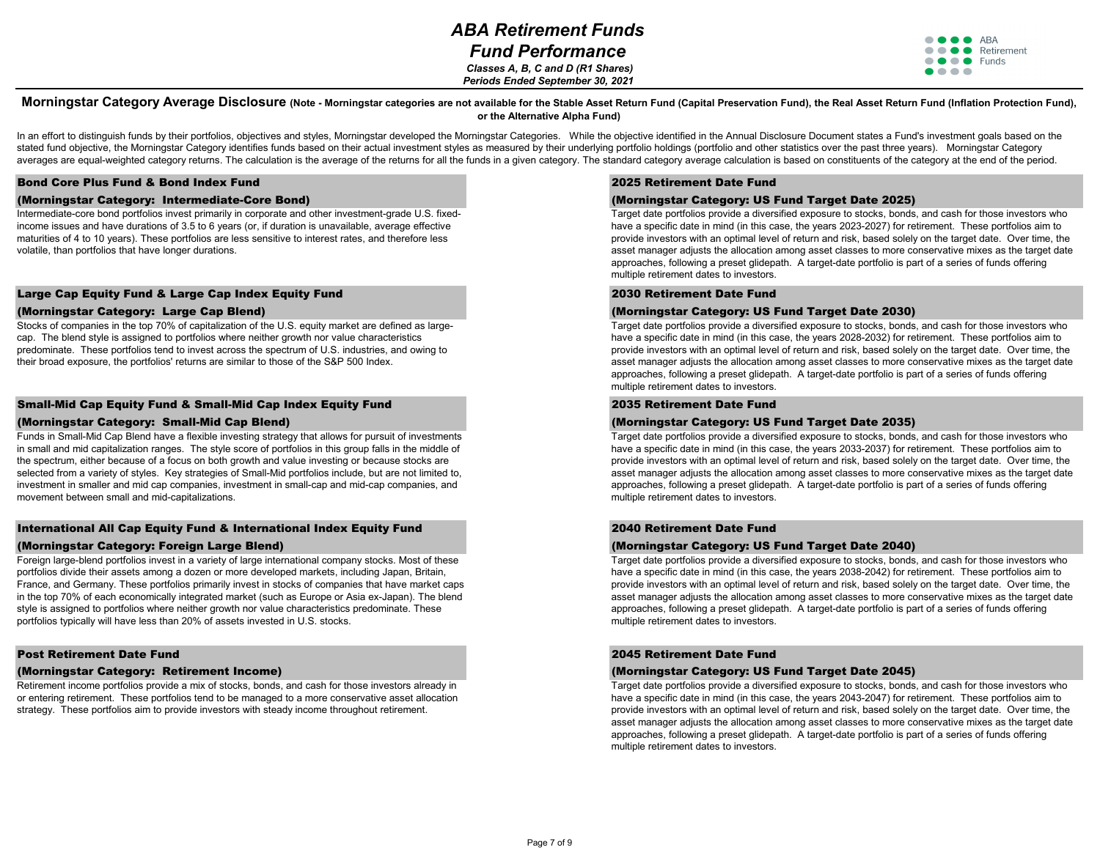

#### Bond Core Plus Fund & Bond Index Fund

#### (Morningstar Category: Intermediate-Core Bond)

Intermediate-core bond portfolios invest primarily in corporate and other investment-grade U.S. fixedincome issues and have durations of 3.5 to 6 years (or, if duration is unavailable, average effective maturities of 4 to 10 years). These portfolios are less sensitive to interest rates, and therefore less volatile, than portfolios that have longer durations.

### Large Cap Equity Fund & Large Cap Index Equity Fund

#### (Morningstar Category: Large Cap Blend)

Stocks of companies in the top 70% of capitalization of the U.S. equity market are defined as largecap. The blend style is assigned to portfolios where neither growth nor value characteristics predominate. These portfolios tend to invest across the spectrum of U.S. industries, and owing to their broad exposure, the portfolios' returns are similar to those of the S&P 500 Index.

#### Small-Mid Cap Equity Fund & Small-Mid Cap Index Equity Fund

#### (Morningstar Category: Small-Mid Cap Blend)

Funds in Small-Mid Cap Blend have a flexible investing strategy that allows for pursuit of investments in small and mid capitalization ranges. The style score of portfolios in this group falls in the middle of the spectrum, either because of a focus on both growth and value investing or because stocks are selected from a variety of styles. Key strategies of Small-Mid portfolios include, but are not limited to, investment in smaller and mid cap companies, investment in small-cap and mid-cap companies, and movement between small and mid-capitalizations.

### International All Cap Equity Fund & International Index Equity Fund (Morningstar Category: Foreign Large Blend)

Foreign large-blend portfolios invest in a variety of large international company stocks. Most of these portfolios divide their assets among a dozen or more developed markets, including Japan, Britain, France, and Germany. These portfolios primarily invest in stocks of companies that have market caps in the top 70% of each economically integrated market (such as Europe or Asia ex-Japan). The blend style is assigned to portfolios where neither growth nor value characteristics predominate. These portfolios typically will have less than 20% of assets invested in U.S. stocks.

#### Post Retirement Date Fund

#### (Morningstar Category: Retirement Income)

Retirement income portfolios provide a mix of stocks, bonds, and cash for those investors already in or entering retirement. These portfolios tend to be managed to a more conservative asset allocation strategy. These portfolios aim to provide investors with steady income throughout retirement.

#### 2030 Retirement Date Fund

### (Morningstar Category: US Fund Target Date 2030)

#### Morningstar Category Average Disclosure (Note - Morningstar categories are not available for the Stable Asset Return Fund (Capital Preservation Fund), the Real Asset Return Fund (Inflation Protection Fund), **or the Alternative Alpha Fund)**

In an effort to distinguish funds by their portfolios, objectives and styles, Morningstar developed the Morningstar Categories. While the objective identified in the Annual Disclosure Document states a Fund's investment go stated fund objective, the Morningstar Category identifies funds based on their actual investment styles as measured by their underlying portfolio holdings (portfolio and other statistics over the past three years). Mornin averages are equal-weighted category returns. The calculation is the average of the returns for all the funds in a given category. The standard category average calculation is based on constituents of the category at the e

> Target date portfolios provide a diversified exposure to stocks, bonds, and cash for those investors who have a specific date in mind (in this case, the years 2028-2032) for retirement. These portfolios aim to provide investors with an optimal level of return and risk, based solely on the target date. Over time, the asset manager adjusts the allocation among asset classes to more conservative mixes as the target date approaches, following a preset glidepath. A target-date portfolio is part of a series of funds offering multiple retirement dates to investors.

### 2025 Retirement Date Fund

## (Morningstar Category: US Fund Target Date 2025)

Target date portfolios provide a diversified exposure to stocks, bonds, and cash for those investors who have a specific date in mind (in this case, the years 2023-2027) for retirement. These portfolios aim to provide investors with an optimal level of return and risk, based solely on the target date. Over time, the asset manager adjusts the allocation among asset classes to more conservative mixes as the target date approaches, following a preset glidepath. A target-date portfolio is part of a series of funds offering multiple retirement dates to investors.

Target date portfolios provide a diversified exposure to stocks, bonds, and cash for those investors who have a specific date in mind (in this case, the years 2038-2042) for retirement. These portfolios aim to provide investors with an optimal level of return and risk, based solely on the target date. Over time, the asset manager adjusts the allocation among asset classes to more conservative mixes as the target date approaches, following a preset glidepath. A target-date portfolio is part of a series of funds offering multiple retirement dates to investors.

# 2035 Retirement Date Fund

### (Morningstar Category: US Fund Target Date 2035)

## 2045 Retirement Date Fund

### (Morningstar Category: US Fund Target Date 2045)

 *Classes A, B, C and D (R1 Shares) Periods Ended September 30, 2021*

> Target date portfolios provide a diversified exposure to stocks, bonds, and cash for those investors who have a specific date in mind (in this case, the years 2043-2047) for retirement. These portfolios aim to provide investors with an optimal level of return and risk, based solely on the target date. Over time, the asset manager adjusts the allocation among asset classes to more conservative mixes as the target date approaches, following a preset glidepath. A target-date portfolio is part of a series of funds offering multiple retirement dates to investors.

> Target date portfolios provide a diversified exposure to stocks, bonds, and cash for those investors who have a specific date in mind (in this case, the years 2033-2037) for retirement. These portfolios aim to provide investors with an optimal level of return and risk, based solely on the target date. Over time, the asset manager adjusts the allocation among asset classes to more conservative mixes as the target date approaches, following a preset glidepath. A target-date portfolio is part of a series of funds offering multiple retirement dates to investors.

#### 2040 Retirement Date Fund

# (Morningstar Category: US Fund Target Date 2040)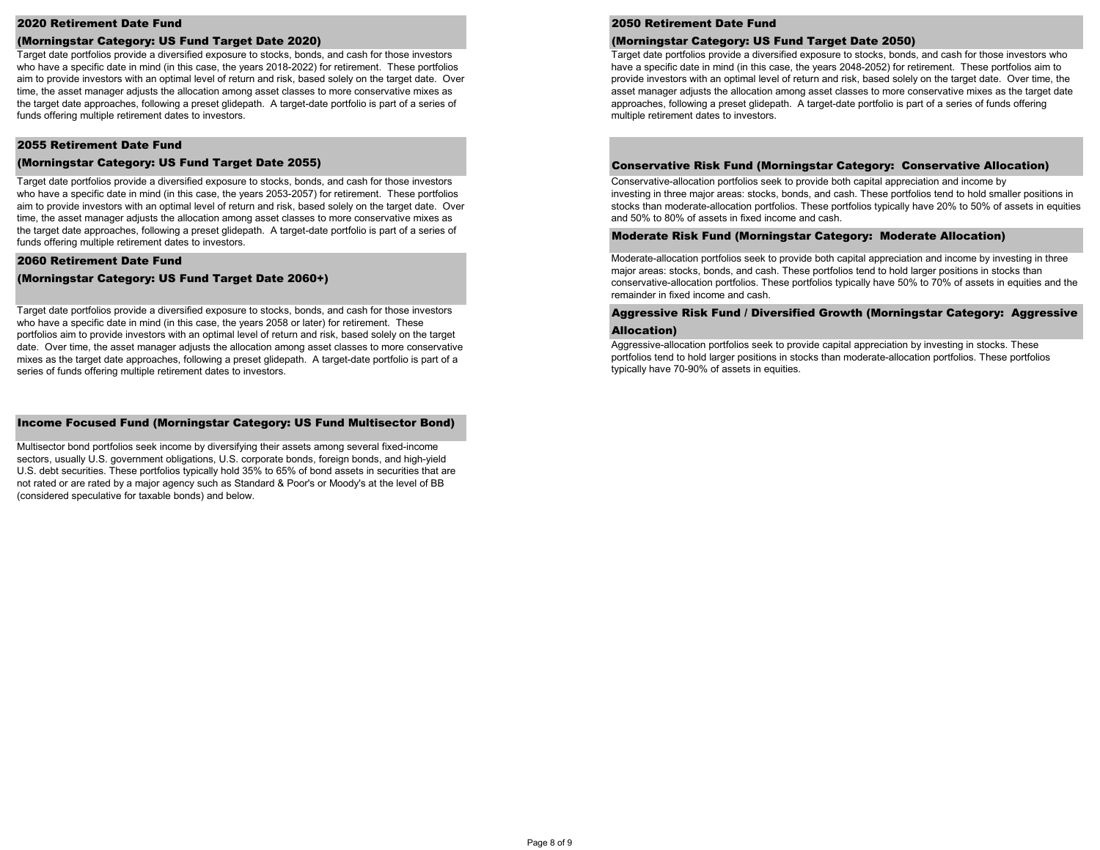#### 2020 Retirement Date Fund

#### (Morningstar Category: US Fund Target Date 2020)

#### 2055 Retirement Date Fund

#### (Morningstar Category: US Fund Target Date 2055)

#### 2060 Retirement Date Fund

### (Morningstar Category: US Fund Target Date 2060+)

#### Income Focused Fund (Morningstar Category: US Fund Multisector Bond)

Multisector bond portfolios seek income by diversifying their assets among several fixed-income sectors, usually U.S. government obligations, U.S. corporate bonds, foreign bonds, and high-yield U.S. debt securities. These portfolios typically hold 35% to 65% of bond assets in securities that are not rated or are rated by a major agency such as Standard & Poor's or Moody's at the level of BB (considered speculative for taxable bonds) and below.

Target date portfolios provide a diversified exposure to stocks, bonds, and cash for those investors who have a specific date in mind (in this case, the years 2053-2057) for retirement. These portfolios aim to provide investors with an optimal level of return and risk, based solely on the target date. Over time, the asset manager adjusts the allocation among asset classes to more conservative mixes as the target date approaches, following a preset glidepath. A target-date portfolio is part of a series of funds offering multiple retirement dates to investors.

Target date portfolios provide a diversified exposure to stocks, bonds, and cash for those investors who have a specific date in mind (in this case, the years 2058 or later) for retirement. These portfolios aim to provide investors with an optimal level of return and risk, based solely on the target date. Over time, the asset manager adjusts the allocation among asset classes to more conservative mixes as the target date approaches, following a preset glidepath. A target-date portfolio is part of a series of funds offering multiple retirement dates to investors.

Aggressive-allocation portfolios seek to provide capital appreciation by investing in stocks. These portfolios tend to hold larger positions in stocks than moderate-allocation portfolios. These portfolios typically have 70-90% of assets in equities.

# Aggressive Risk Fund / Diversified Growth (Morningstar Category: Aggressive

# Allocation)

Moderate-allocation portfolios seek to provide both capital appreciation and income by investing in three major areas: stocks, bonds, and cash. These portfolios tend to hold larger positions in stocks than conservative-allocation portfolios. These portfolios typically have 50% to 70% of assets in equities and the remainder in fixed income and cash.

Conservative-allocation portfolios seek to provide both capital appreciation and income by investing in three major areas: stocks, bonds, and cash. These portfolios tend to hold smaller positions in stocks than moderate-allocation portfolios. These portfolios typically have 20% to 50% of assets in equities and 50% to 80% of assets in fixed income and cash.

#### Moderate Risk Fund (Morningstar Category: Moderate Allocation)

Target date portfolios provide a diversified exposure to stocks, bonds, and cash for those investors who have a specific date in mind (in this case, the years 2018-2022) for retirement. These portfolios aim to provide investors with an optimal level of return and risk, based solely on the target date. Over time, the asset manager adjusts the allocation among asset classes to more conservative mixes as the target date approaches, following a preset glidepath. A target-date portfolio is part of a series of funds offering multiple retirement dates to investors.

Target date portfolios provide a diversified exposure to stocks, bonds, and cash for those investors who have a specific date in mind (in this case, the years 2048-2052) for retirement. These portfolios aim to provide investors with an optimal level of return and risk, based solely on the target date. Over time, the asset manager adjusts the allocation among asset classes to more conservative mixes as the target date approaches, following a preset glidepath. A target-date portfolio is part of a series of funds offering multiple retirement dates to investors.

#### Conservative Risk Fund (Morningstar Category: Conservative Allocation)

### 2050 Retirement Date Fund

#### (Morningstar Category: US Fund Target Date 2050)